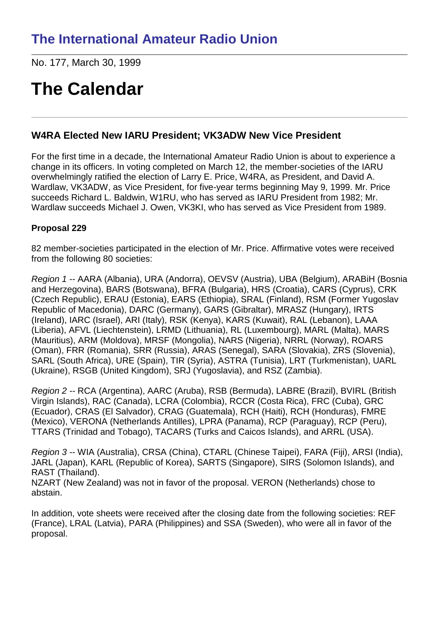No. 177, March 30, 1999

# **The Calendar**

## **W4RA Elected New IARU President; VK3ADW New Vice President**

For the first time in a decade, the International Amateur Radio Union is about to experience a change in its officers. In voting completed on March 12, the member-societies of the IARU overwhelmingly ratified the election of Larry E. Price, W4RA, as President, and David A. Wardlaw, VK3ADW, as Vice President, for five-year terms beginning May 9, 1999. Mr. Price succeeds Richard L. Baldwin, W1RU, who has served as IARU President from 1982; Mr. Wardlaw succeeds Michael J. Owen, VK3KI, who has served as Vice President from 1989.

### **Proposal 229**

82 member-societies participated in the election of Mr. Price. Affirmative votes were received from the following 80 societies:

*Region 1 --* AARA (Albania), URA (Andorra), OEVSV (Austria), UBA (Belgium), ARABiH (Bosnia and Herzegovina), BARS (Botswana), BFRA (Bulgaria), HRS (Croatia), CARS (Cyprus), CRK (Czech Republic), ERAU (Estonia), EARS (Ethiopia), SRAL (Finland), RSM (Former Yugoslav Republic of Macedonia), DARC (Germany), GARS (Gibraltar), MRASZ (Hungary), IRTS (Ireland), IARC (Israel), ARI (Italy), RSK (Kenya), KARS (Kuwait), RAL (Lebanon), LAAA (Liberia), AFVL (Liechtenstein), LRMD (Lithuania), RL (Luxembourg), MARL (Malta), MARS (Mauritius), ARM (Moldova), MRSF (Mongolia), NARS (Nigeria), NRRL (Norway), ROARS (Oman), FRR (Romania), SRR (Russia), ARAS (Senegal), SARA (Slovakia), ZRS (Slovenia), SARL (South Africa), URE (Spain), TIR (Syria), ASTRA (Tunisia), LRT (Turkmenistan), UARL (Ukraine), RSGB (United Kingdom), SRJ (Yugoslavia), and RSZ (Zambia).

*Region 2 --* RCA (Argentina), AARC (Aruba), RSB (Bermuda), LABRE (Brazil), BVIRL (British Virgin Islands), RAC (Canada), LCRA (Colombia), RCCR (Costa Rica), FRC (Cuba), GRC (Ecuador), CRAS (El Salvador), CRAG (Guatemala), RCH (Haiti), RCH (Honduras), FMRE (Mexico), VERONA (Netherlands Antilles), LPRA (Panama), RCP (Paraguay), RCP (Peru), TTARS (Trinidad and Tobago), TACARS (Turks and Caicos Islands), and ARRL (USA).

*Region 3 --* WIA (Australia), CRSA (China), CTARL (Chinese Taipei), FARA (Fiji), ARSI (India), JARL (Japan), KARL (Republic of Korea), SARTS (Singapore), SIRS (Solomon Islands), and RAST (Thailand).

NZART (New Zealand) was not in favor of the proposal. VERON (Netherlands) chose to abstain.

In addition, vote sheets were received after the closing date from the following societies: REF (France), LRAL (Latvia), PARA (Philippines) and SSA (Sweden), who were all in favor of the proposal.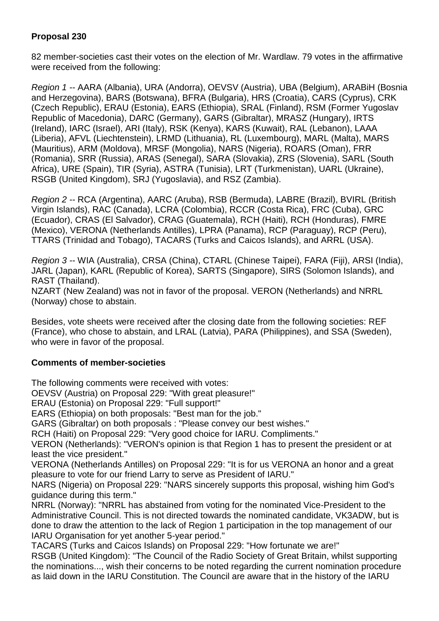#### **Proposal 230**

82 member-societies cast their votes on the election of Mr. Wardlaw. 79 votes in the affirmative were received from the following:

*Region 1 --* AARA (Albania), URA (Andorra), OEVSV (Austria), UBA (Belgium), ARABiH (Bosnia and Herzegovina), BARS (Botswana), BFRA (Bulgaria), HRS (Croatia), CARS (Cyprus), CRK (Czech Republic), ERAU (Estonia), EARS (Ethiopia), SRAL (Finland), RSM (Former Yugoslav Republic of Macedonia), DARC (Germany), GARS (Gibraltar), MRASZ (Hungary), IRTS (Ireland), IARC (Israel), ARI (Italy), RSK (Kenya), KARS (Kuwait), RAL (Lebanon), LAAA (Liberia), AFVL (Liechtenstein), LRMD (Lithuania), RL (Luxembourg), MARL (Malta), MARS (Mauritius), ARM (Moldova), MRSF (Mongolia), NARS (Nigeria), ROARS (Oman), FRR (Romania), SRR (Russia), ARAS (Senegal), SARA (Slovakia), ZRS (Slovenia), SARL (South Africa), URE (Spain), TIR (Syria), ASTRA (Tunisia), LRT (Turkmenistan), UARL (Ukraine), RSGB (United Kingdom), SRJ (Yugoslavia), and RSZ (Zambia).

*Region 2 --* RCA (Argentina), AARC (Aruba), RSB (Bermuda), LABRE (Brazil), BVIRL (British Virgin Islands), RAC (Canada), LCRA (Colombia), RCCR (Costa Rica), FRC (Cuba), GRC (Ecuador), CRAS (El Salvador), CRAG (Guatemala), RCH (Haiti), RCH (Honduras), FMRE (Mexico), VERONA (Netherlands Antilles), LPRA (Panama), RCP (Paraguay), RCP (Peru), TTARS (Trinidad and Tobago), TACARS (Turks and Caicos Islands), and ARRL (USA).

*Region 3 --* WIA (Australia), CRSA (China), CTARL (Chinese Taipei), FARA (Fiji), ARSI (India), JARL (Japan), KARL (Republic of Korea), SARTS (Singapore), SIRS (Solomon Islands), and RAST (Thailand).

NZART (New Zealand) was not in favor of the proposal. VERON (Netherlands) and NRRL (Norway) chose to abstain.

Besides, vote sheets were received after the closing date from the following societies: REF (France), who chose to abstain, and LRAL (Latvia), PARA (Philippines), and SSA (Sweden), who were in favor of the proposal.

#### **Comments of member-societies**

The following comments were received with votes:

OEVSV (Austria) on Proposal 229: "With great pleasure!"

ERAU (Estonia) on Proposal 229: "Full support!"

EARS (Ethiopia) on both proposals: "Best man for the job."

GARS (Gibraltar) on both proposals : "Please convey our best wishes."

RCH (Haiti) on Proposal 229: "Very good choice for IARU. Compliments."

VERON (Netherlands): "VERON's opinion is that Region 1 has to present the president or at least the vice president."

VERONA (Netherlands Antilles) on Proposal 229: "It is for us VERONA an honor and a great pleasure to vote for our friend Larry to serve as President of IARU."

NARS (Nigeria) on Proposal 229: "NARS sincerely supports this proposal, wishing him God's guidance during this term."

NRRL (Norway): "NRRL has abstained from voting for the nominated Vice-President to the Administrative Council. This is not directed towards the nominated candidate, VK3ADW, but is done to draw the attention to the lack of Region 1 participation in the top management of our IARU Organisation for yet another 5-year period."

TACARS (Turks and Caicos Islands) on Proposal 229: "How fortunate we are!" RSGB (United Kingdom): "The Council of the Radio Society of Great Britain, whilst supporting the nominations..., wish their concerns to be noted regarding the current nomination procedure as laid down in the IARU Constitution. The Council are aware that in the history of the IARU